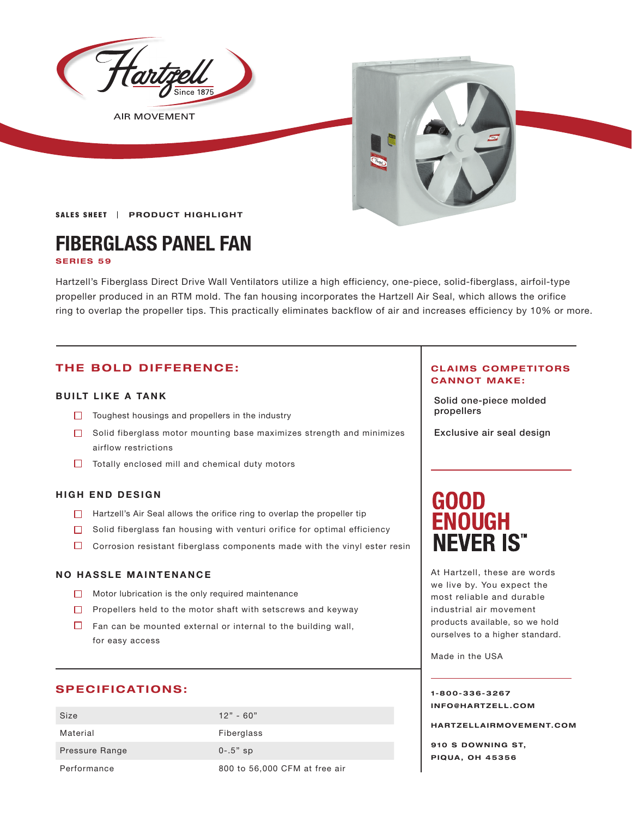

**AIR MOVEMENT** 



SALES SHEET | PRODUCT HIGHLIGHT

# **FIBERGLASS PANEL FAN**

#### **SERIES 59**

Hartzell's Fiberglass Direct Drive Wall Ventilators utilize a high efficiency, one-piece, solid-fiberglass, airfoil-type propeller produced in an RTM mold. The fan housing incorporates the Hartzell Air Seal, which allows the orifice ring to overlap the propeller tips. This practically eliminates backflow of air and increases efficiency by 10% or more.

### **THE BOLD DIFFERENCE:**

### **BUILT LIKE A TANK**

- Toughest housings and propellers in the industry **Toughest Studies in the industry Toughest propellers**
- $\Box$  Solid fiberglass motor mounting base maximizes strength and minimizes airflow restrictions
- $\Box$  Totally enclosed mill and chemical duty motors

#### **HIGH END DESIGN**

- $\Box$  Hartzell's Air Seal allows the orifice ring to overlap the propeller tip
- $\Box$  Solid fiberglass fan housing with venturi orifice for optimal efficiency
- $\Box$  Corrosion resistant fiberglass components made with the vinyl ester resin

#### **NO HASSLE MAINTENANCE**

- $\Box$  Motor lubrication is the only required maintenance
- $\Box$  Propellers held to the motor shaft with setscrews and keyway
- $\Box$  Fan can be mounted external or internal to the building wall, for easy access

#### **SPECIFICATIONS:**

| Size           | $12" - 60"$                   |
|----------------|-------------------------------|
| Material       | Fiberglass                    |
| Pressure Range | $0 - 0.5"$ sp                 |
| Performance    | 800 to 56,000 CFM at free air |

#### **CLAIMS COMPETITORS CANNOT MAKE:**

Solid one-piece molded

Exclusive air seal design

# **GOOD ENOUGH NEVER IS"**

At Hartzell, these are words we live by. You expect the most reliable and durable industrial air movement products available, so we hold ourselves to a higher standard.

Made in the USA

**1-800-336-3267 I N F O @ H A R T Z E L L . C OM** 

**HARTZELLA IRMOVEMENT.COM**

**910 S DOWNING ST, PIQUA, OH 45356**